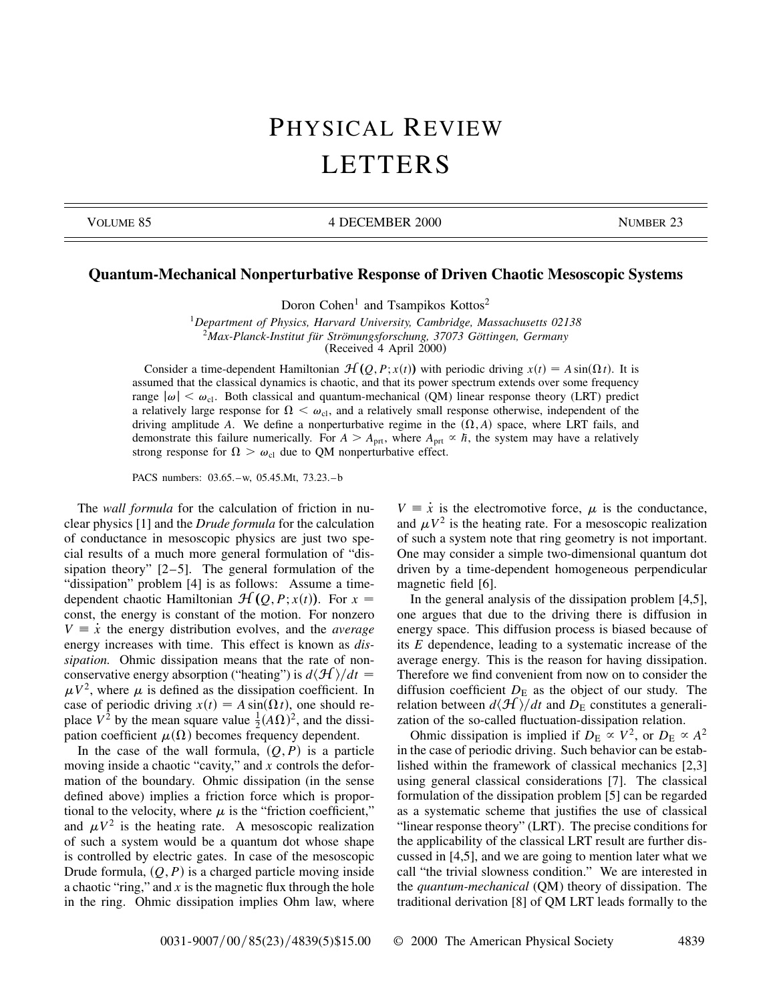## PHYSICAL REVIEW LETTERS

VOLUME 85 4 DECEMBER 2000 NUMBER 23

## **Quantum-Mechanical Nonperturbative Response of Driven Chaotic Mesoscopic Systems**

Doron Cohen<sup>1</sup> and Tsampikos Kottos<sup>2</sup>

<sup>1</sup>*Department of Physics, Harvard University, Cambridge, Massachusetts 02138* <sup>2</sup>*Max-Planck-Institut für Strömungsforschung, 37073 Göttingen, Germany* (Received 4 April 2000)

Consider a time-dependent Hamiltonian  $\mathcal{H}(Q, P; x(t))$  with periodic driving  $x(t) = A \sin(\Omega t)$ . It is assumed that the classical dynamics is chaotic, and that its power spectrum extends over some frequency range  $|\omega| \leq \omega_{\text{cl}}$ . Both classical and quantum-mechanical (QM) linear response theory (LRT) predict a relatively large response for  $\Omega < \omega_{\rm cl}$ , and a relatively small response otherwise, independent of the driving amplitude A. We define a nonperturbative regime in the  $(\Omega, A)$  space, where LRT fails, and demonstrate this failure numerically. For  $A > A_{\text{prt}}$ , where  $A_{\text{prt}} \propto \hbar$ , the system may have a relatively strong response for  $\Omega > \omega_{\text{cl}}$  due to QM nonperturbative effect.

PACS numbers: 03.65.–w, 05.45.Mt, 73.23.–b

The *wall formula* for the calculation of friction in nuclear physics [1] and the *Drude formula* for the calculation of conductance in mesoscopic physics are just two special results of a much more general formulation of "dissipation theory" [2–5]. The general formulation of the "dissipation" problem [4] is as follows: Assume a timedependent chaotic Hamiltonian  $\mathcal{H}(Q, P; x(t))$ . For  $x =$ const, the energy is constant of the motion. For nonzero  $V \equiv \dot{x}$  the energy distribution evolves, and the *average* energy increases with time. This effect is known as *dissipation.* Ohmic dissipation means that the rate of nonconservative energy absorption ("heating") is  $d\langle \mathcal{H} \rangle/dt =$  $\mu V^2$ , where  $\mu$  is defined as the dissipation coefficient. In case of periodic driving  $x(t) = A \sin(\Omega t)$ , one should replace  $V^2$  by the mean square value  $\frac{1}{2}(A\Omega)^2$ , and the dissipation coefficient  $\mu(\Omega)$  becomes frequency dependent.

In the case of the wall formula,  $(Q, P)$  is a particle moving inside a chaotic "cavity," and *x* controls the deformation of the boundary. Ohmic dissipation (in the sense defined above) implies a friction force which is proportional to the velocity, where  $\mu$  is the "friction coefficient," and  $\mu V^2$  is the heating rate. A mesoscopic realization of such a system would be a quantum dot whose shape is controlled by electric gates. In case of the mesoscopic Drude formula,  $(Q, P)$  is a charged particle moving inside a chaotic "ring," and *x* is the magnetic flux through the hole in the ring. Ohmic dissipation implies Ohm law, where  $V = \dot{x}$  is the electromotive force,  $\mu$  is the conductance, and  $\mu V^2$  is the heating rate. For a mesoscopic realization of such a system note that ring geometry is not important. One may consider a simple two-dimensional quantum dot driven by a time-dependent homogeneous perpendicular magnetic field [6].

In the general analysis of the dissipation problem [4,5], one argues that due to the driving there is diffusion in energy space. This diffusion process is biased because of its *E* dependence, leading to a systematic increase of the average energy. This is the reason for having dissipation. Therefore we find convenient from now on to consider the diffusion coefficient  $D<sub>E</sub>$  as the object of our study. The relation between  $d\langle H \rangle/dt$  and  $D_{\rm E}$  constitutes a generalization of the so-called fluctuation-dissipation relation.

Ohmic dissipation is implied if  $D_E \propto V^2$ , or  $D_E \propto A^2$ in the case of periodic driving. Such behavior can be established within the framework of classical mechanics [2,3] using general classical considerations [7]. The classical formulation of the dissipation problem [5] can be regarded as a systematic scheme that justifies the use of classical "linear response theory" (LRT). The precise conditions for the applicability of the classical LRT result are further discussed in [4,5], and we are going to mention later what we call "the trivial slowness condition." We are interested in the *quantum-mechanical* (QM) theory of dissipation. The traditional derivation [8] of QM LRT leads formally to the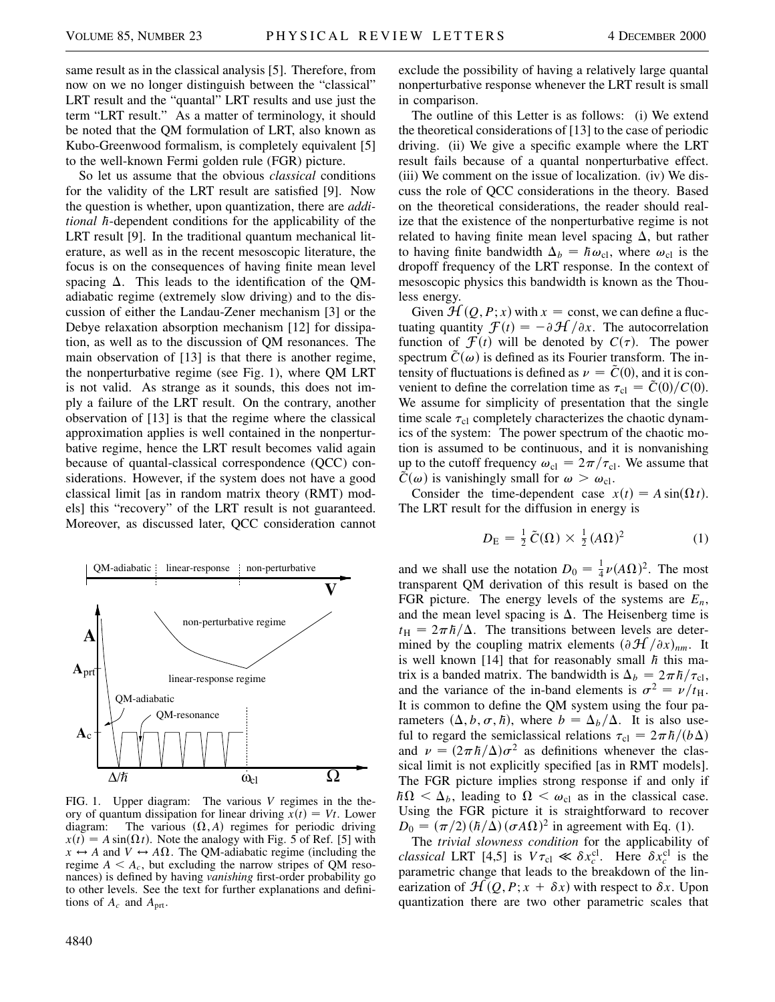same result as in the classical analysis [5]. Therefore, from now on we no longer distinguish between the "classical" LRT result and the "quantal" LRT results and use just the term "LRT result." As a matter of terminology, it should be noted that the QM formulation of LRT, also known as Kubo-Greenwood formalism, is completely equivalent [5] to the well-known Fermi golden rule (FGR) picture.

So let us assume that the obvious *classical* conditions for the validity of the LRT result are satisfied [9]. Now the question is whether, upon quantization, there are *additional h*-dependent conditions for the applicability of the LRT result [9]. In the traditional quantum mechanical literature, as well as in the recent mesoscopic literature, the focus is on the consequences of having finite mean level spacing  $\Delta$ . This leads to the identification of the QMadiabatic regime (extremely slow driving) and to the discussion of either the Landau-Zener mechanism [3] or the Debye relaxation absorption mechanism [12] for dissipation, as well as to the discussion of QM resonances. The main observation of [13] is that there is another regime, the nonperturbative regime (see Fig. 1), where QM LRT is not valid. As strange as it sounds, this does not imply a failure of the LRT result. On the contrary, another observation of [13] is that the regime where the classical approximation applies is well contained in the nonperturbative regime, hence the LRT result becomes valid again because of quantal-classical correspondence (QCC) considerations. However, if the system does not have a good classical limit [as in random matrix theory (RMT) models] this "recovery" of the LRT result is not guaranteed. Moreover, as discussed later, QCC consideration cannot



FIG. 1. Upper diagram: The various *V* regimes in the theory of quantum dissipation for linear driving  $\dot{x}(t) = Vt$ . Lower diagram: The various  $(\Omega, A)$  regimes for periodic driving  $x(t) = A \sin(\Omega t)$ . Note the analogy with Fig. 5 of Ref. [5] with  $x \leftrightarrow A$  and  $V \leftrightarrow A\Omega$ . The QM-adiabatic regime (including the regime  $A \leq A_c$ , but excluding the narrow stripes of QM resonances) is defined by having *vanishing* first-order probability go to other levels. See the text for further explanations and definitions of  $A_c$  and  $A_{\text{prt}}$ .

The outline of this Letter is as follows: (i) We extend the theoretical considerations of [13] to the case of periodic driving. (ii) We give a specific example where the LRT result fails because of a quantal nonperturbative effect. (iii) We comment on the issue of localization. (iv) We discuss the role of QCC considerations in the theory. Based on the theoretical considerations, the reader should realize that the existence of the nonperturbative regime is not related to having finite mean level spacing  $\Delta$ , but rather to having finite bandwidth  $\Delta_b = \hbar \omega_{\text{cl}}$ , where  $\omega_{\text{cl}}$  is the dropoff frequency of the LRT response. In the context of mesoscopic physics this bandwidth is known as the Thouless energy.

Given  $\mathcal{H}(Q, P; x)$  with  $x = \text{const}$ , we can define a fluctuating quantity  $\mathcal{F}(t) = -\partial \mathcal{H}/\partial x$ . The autocorrelation function of  $\mathcal{F}(t)$  will be denoted by  $C(\tau)$ . The power spectrum  $\tilde{C}(\omega)$  is defined as its Fourier transform. The intensity of fluctuations is defined as  $\nu = \tilde{C}(0)$ , and it is convenient to define the correlation time as  $\tau_{\text{cl}} = \tilde{C}(0)/C(0)$ . We assume for simplicity of presentation that the single time scale  $\tau_{\text{cl}}$  completely characterizes the chaotic dynamics of the system: The power spectrum of the chaotic motion is assumed to be continuous, and it is nonvanishing up to the cutoff frequency  $\omega_{\text{cl}} = 2\pi/\tau_{\text{cl}}$ . We assume that  $\tilde{C}(\omega)$  is vanishingly small for  $\omega > \omega_{\text{cl}}$ .

Consider the time-dependent case  $x(t) = A \sin(\Omega t)$ . The LRT result for the diffusion in energy is

$$
D_{\rm E} = \frac{1}{2}\tilde{C}(\Omega) \times \frac{1}{2}(A\Omega)^2 \tag{1}
$$

and we shall use the notation  $D_0 = \frac{1}{4}\nu(A\Omega)^2$ . The most transparent QM derivation of this result is based on the FGR picture. The energy levels of the systems are  $E_n$ , and the mean level spacing is  $\Delta$ . The Heisenberg time is  $t_{\rm H} = 2\pi\hbar/\Delta$ . The transitions between levels are determined by the coupling matrix elements  $(\partial \mathcal{H}/\partial x)_{nm}$ . It is well known [14] that for reasonably small  $\hbar$  this matrix is a banded matrix. The bandwidth is  $\Delta_b = 2\pi\hbar/\tau_{\text{cl}}$ , and the variance of the in-band elements is  $\sigma^2 = \nu/t_H$ . It is common to define the QM system using the four parameters  $(\Delta, b, \sigma, \hbar)$ , where  $b = \Delta_b/\Delta$ . It is also useful to regard the semiclassical relations  $\tau_{\text{cl}} = 2\pi\hbar/(b\Delta)$ and  $\nu = (2\pi \hbar/\Delta)\sigma^2$  as definitions whenever the classical limit is not explicitly specified [as in RMT models]. The FGR picture implies strong response if and only if  $h\Omega < \Delta_b$ , leading to  $\Omega < \omega_{\text{cl}}$  as in the classical case. Using the FGR picture it is straightforward to recover  $D_0 = (\pi/2) (\hbar/\Delta) (\sigma A \Omega)^2$  in agreement with Eq. (1).

The *trivial slowness condition* for the applicability of *classical* LRT [4,5] is  $V\tau_{cl} \ll \delta x_c^{cl}$ . Here  $\delta x_c^{cl}$  is the parametric change that leads to the breakdown of the linearization of  $\mathcal{H}(Q, P; x + \delta x)$  with respect to  $\delta x$ . Upon quantization there are two other parametric scales that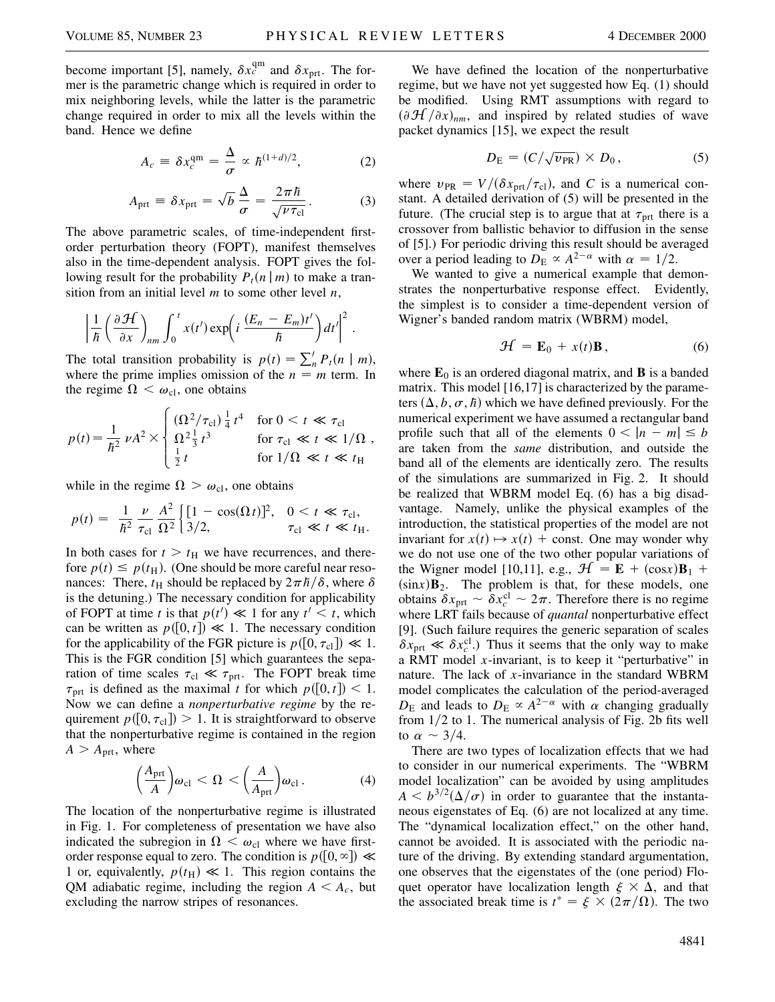become important [5], namely,  $\delta x_c^{\text{qm}}$  and  $\delta x_{\text{prt}}$ . The former is the parametric change which is required in order to mix neighboring levels, while the latter is the parametric change required in order to mix all the levels within the band. Hence we define

$$
A_c = \delta x_c^{\text{qm}} = \frac{\Delta}{\sigma} \propto h^{(1+d)/2},\tag{2}
$$

$$
A_{\rm prt} \equiv \delta x_{\rm prt} = \sqrt{b} \frac{\Delta}{\sigma} = \frac{2\pi\hbar}{\sqrt{\nu\tau_{\rm cl}}}.
$$
 (3)

The above parametric scales, of time-independent firstorder perturbation theory (FOPT), manifest themselves also in the time-dependent analysis. FOPT gives the following result for the probability  $P_t(n \mid m)$  to make a transition from an initial level *m* to some other level *n*,

$$
\left|\frac{1}{\hbar}\left(\frac{\partial H}{\partial x}\right)_{nm}\int_0^t x(t')\exp\left(i\frac{(E_n-E_m)t'}{\hbar}\right)dt'\right|^2.
$$

The total transition probability is  $p(t) = \sum_{n}^{t} P_t(n \mid m)$ , where the prime implies omission of the  $n = m$  term. In the regime  $\Omega < \omega_{\text{cl}}$ , one obtains

$$
p(t) = \frac{1}{\hbar^2} \nu A^2 \times \begin{cases} \left(\Omega^2 / \tau_{\text{cl}}\right) \frac{1}{4} t^4 & \text{for } 0 < t \ll \tau_{\text{cl}}\\ \Omega^2 \frac{1}{3} t^3 & \text{for } \tau_{\text{cl}} \ll t \ll 1/\Omega\\ \frac{1}{2} t & \text{for } 1/\Omega \ll t \ll t_{\text{H}} \end{cases}
$$

while in the regime  $\Omega > \omega_{\text{cl}}$ , one obtains

$$
p(t) = \frac{1}{\hbar^2} \frac{\nu}{\tau_{\text{cl}}} \frac{A^2}{\Omega^2} \left\{ \frac{[1 - \cos(\Omega t)]^2}{3/2}, \quad 0 < t \ll \tau_{\text{cl}}, \right. \\
\tau_{\text{cl}} \ll t \ll t_{\text{H}}.
$$

In both cases for  $t > t$ <sup>H</sup> we have recurrences, and therefore  $p(t) \leq p(t)$ . (One should be more careful near resonances: There,  $t_H$  should be replaced by  $2\pi \hbar/\delta$ , where  $\delta$ is the detuning.) The necessary condition for applicability of FOPT at time *t* is that  $p(t') \ll 1$  for any  $t' \leq t$ , which can be written as  $p([0, t]) \ll 1$ . The necessary condition for the applicability of the FGR picture is  $p([0, \tau_{cl}]) \ll 1$ . This is the FGR condition [5] which guarantees the separation of time scales  $\tau_{\text{cl}} \ll \tau_{\text{prt}}$ . The FOPT break time  $\tau_{\text{prt}}$  is defined as the maximal *t* for which  $p([0, t]) < 1$ . Now we can define a *nonperturbative regime* by the requirement  $p([0, \tau_{cl}]) > 1$ . It is straightforward to observe that the nonperturbative regime is contained in the region  $A > A_{\text{prt}}$ , where

$$
\left(\frac{A_{\rm prt}}{A}\right)\omega_{\rm cl} < \Omega < \left(\frac{A}{A_{\rm prt}}\right)\omega_{\rm cl} \,. \tag{4}
$$

The location of the nonperturbative regime is illustrated in Fig. 1. For completeness of presentation we have also indicated the subregion in  $\Omega < \omega_{\rm cl}$  where we have firstorder response equal to zero. The condition is  $p([0, \infty]) \ll$ 1 or, equivalently,  $p(t_H) \ll 1$ . This region contains the QM adiabatic regime, including the region  $A \leq A_c$ , but excluding the narrow stripes of resonances.

We have defined the location of the nonperturbative regime, but we have not yet suggested how Eq. (1) should be modified. Using RMT assumptions with regard to  $(\partial \mathcal{H}/\partial x)_{nm}$ , and inspired by related studies of wave packet dynamics [15], we expect the result

$$
D_{\rm E} = (C/\sqrt{\nu_{\rm PR}}) \times D_0, \qquad (5)
$$

where  $v_{PR} = V/(\delta x_{prt}/\tau_{cl})$ , and *C* is a numerical constant. A detailed derivation of (5) will be presented in the future. (The crucial step is to argue that at  $\tau_{\text{prt}}$  there is a crossover from ballistic behavior to diffusion in the sense of [5].) For periodic driving this result should be averaged over a period leading to  $D_{\rm E} \propto A^{2-\alpha}$  with  $\alpha = 1/2$ .

We wanted to give a numerical example that demonstrates the nonperturbative response effect. Evidently, the simplest is to consider a time-dependent version of Wigner's banded random matrix (WBRM) model,

$$
\mathcal{H} = \mathbf{E}_0 + x(t)\mathbf{B},\qquad(6)
$$

where  $\mathbf{E}_0$  is an ordered diagonal matrix, and **B** is a banded matrix. This model [16,17] is characterized by the parameters  $(\Delta, b, \sigma, \hbar)$  which we have defined previously. For the numerical experiment we have assumed a rectangular band profile such that all of the elements  $0 < |n - m| \le b$ are taken from the *same* distribution, and outside the band all of the elements are identically zero. The results of the simulations are summarized in Fig. 2. It should be realized that WBRM model Eq. (6) has a big disadvantage. Namely, unlike the physical examples of the introduction, the statistical properties of the model are not invariant for  $x(t) \mapsto x(t) + \text{const.}$  One may wonder why we do not use one of the two other popular variations of the Wigner model [10,11], e.g.,  $\mathcal{H} = \mathbf{E} + (\cos x)\mathbf{B}_1 +$  $(sinx)$ **B**<sub>2</sub>. The problem is that, for these models, one obtains  $\delta x_{\text{prt}} \sim \delta x_c^{\text{cl}} \sim 2\pi$ . Therefore there is no regime where LRT fails because of *quantal* nonperturbative effect [9]. (Such failure requires the generic separation of scales  $\delta x_{\text{prt}} \ll \delta x_c^{\text{cl}}$ .) Thus it seems that the only way to make a RMT model *x*-invariant, is to keep it "perturbative" in nature. The lack of *x*-invariance in the standard WBRM model complicates the calculation of the period-averaged  $D_{\rm E}$  and leads to  $D_{\rm E} \propto A^{2-\alpha}$  with  $\alpha$  changing gradually from  $1/2$  to 1. The numerical analysis of Fig. 2b fits well to  $\alpha \sim 3/4$ .

There are two types of localization effects that we had to consider in our numerical experiments. The "WBRM model localization" can be avoided by using amplitudes  $A < b^{3/2}(\Delta/\sigma)$  in order to guarantee that the instantaneous eigenstates of Eq. (6) are not localized at any time. The "dynamical localization effect," on the other hand, cannot be avoided. It is associated with the periodic nature of the driving. By extending standard argumentation, one observes that the eigenstates of the (one period) Floquet operator have localization length  $\xi \times \Delta$ , and that the associated break time is  $t^* = \xi \times (2\pi/\Omega)$ . The two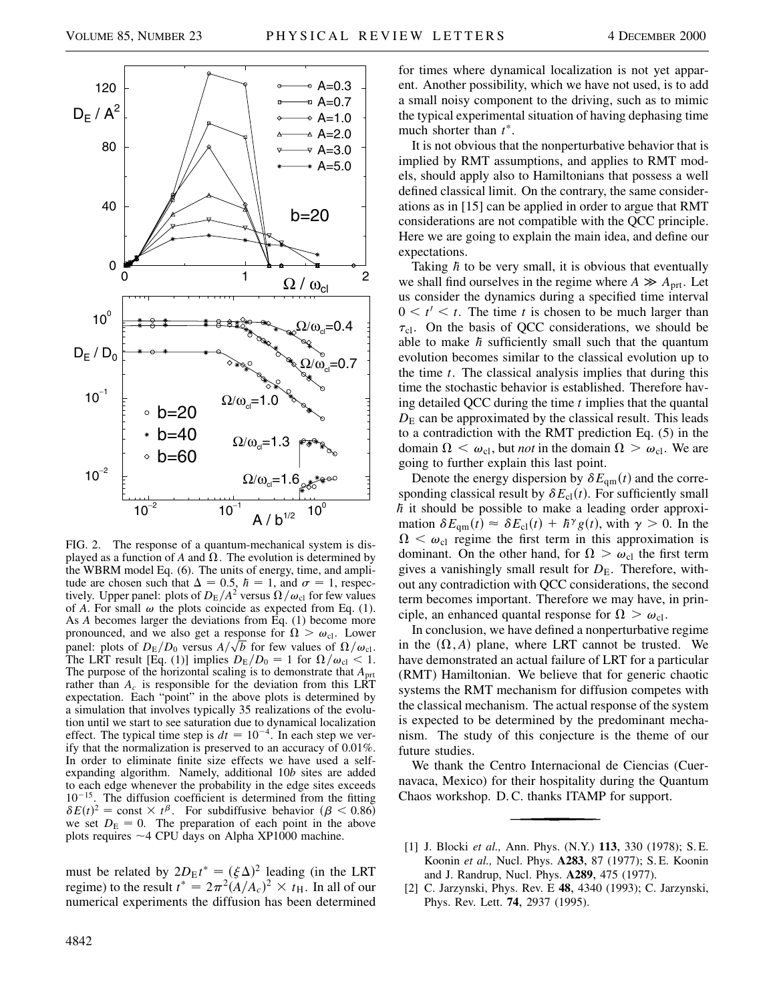



FIG. 2. The response of a quantum-mechanical system is displayed as a function of *A* and  $\Omega$ . The evolution is determined by the WBRM model Eq. (6). The units of energy, time, and amplitude are chosen such that  $\Delta = 0.5$ ,  $\hbar = 1$ , and  $\sigma = 1$ , respectively. Upper panel: plots of  $D_{\rm E}/A^2$  versus  $\Omega/\omega_{\rm cl}$  for few values of *A*. For small  $\omega$  the plots coincide as expected from Eq. (1). As *A* becomes larger the deviations from Eq. (1) become more pronounced, and we also get a response for  $\Omega > \omega_{\text{cl}}$ . Lower panel: plots of  $D_{\rm E}/D_0$  versus  $A/\sqrt{b}$  for few values of  $\Omega/\omega_{\rm cl}$ . The LRT result [Eq. (1)] implies  $D_{\rm E}/D_0 = 1$  for  $\Omega/\omega_{\rm cl} < 1$ . The purpose of the horizontal scaling is to demonstrate that *A*prt rather than  $A_c$  is responsible for the deviation from this LRT expectation. Each "point" in the above plots is determined by a simulation that involves typically 35 realizations of the evolution until we start to see saturation due to dynamical localization effect. The typical time step is  $dt = 10^{-4}$ . In each step we verify that the normalization is preserved to an accuracy of 0.01%. In order to eliminate finite size effects we have used a selfexpanding algorithm. Namely, additional 10*b* sites are added to each edge whenever the probability in the edge sites exceeds  $10^{-15}$ . The diffusion coefficient is determined from the fitting  $\delta E(t)^2 = \text{const} \times t^{\beta}$ . For subdiffusive behavior  $(\beta < 0.86)$ we set  $D<sub>E</sub> = 0$ . The preparation of each point in the above plots requires  $\sim$  4 CPU days on Alpha XP1000 machine.

must be related by  $2D_E t^* = (\xi \Delta)^2$  leading (in the LRT regime) to the result  $t^* = 2\pi^2 (A/A_c)^2 \times t_H$ . In all of our numerical experiments the diffusion has been determined for times where dynamical localization is not yet apparent. Another possibility, which we have not used, is to add a small noisy component to the driving, such as to mimic the typical experimental situation of having dephasing time much shorter than  $t^*$ .

It is not obvious that the nonperturbative behavior that is implied by RMT assumptions, and applies to RMT models, should apply also to Hamiltonians that possess a well defined classical limit. On the contrary, the same considerations as in [15] can be applied in order to argue that RMT considerations are not compatible with the QCC principle. Here we are going to explain the main idea, and define our expectations.

Taking  $\hbar$  to be very small, it is obvious that eventually we shall find ourselves in the regime where  $A \gg A_{\text{prt}}$ . Let us consider the dynamics during a specified time interval  $0 \lt t' \lt t$ . The time *t* is chosen to be much larger than  $\tau_{\text{cl}}$ . On the basis of QCC considerations, we should be able to make  $\hbar$  sufficiently small such that the quantum evolution becomes similar to the classical evolution up to the time *t*. The classical analysis implies that during this time the stochastic behavior is established. Therefore having detailed QCC during the time *t* implies that the quantal  $D<sub>E</sub>$  can be approximated by the classical result. This leads to a contradiction with the RMT prediction Eq. (5) in the domain  $\Omega < \omega_{\text{cl}}$ , but *not* in the domain  $\Omega > \omega_{\text{cl}}$ . We are going to further explain this last point.

Denote the energy dispersion by  $\delta E_{qm}(t)$  and the corresponding classical result by  $\delta E_{\text{cl}}(t)$ . For sufficiently small  $\hbar$  it should be possible to make a leading order approximation  $\delta E_{qm}(t) \approx \delta E_{cl}(t) + \hbar^{\gamma} g(t)$ , with  $\gamma > 0$ . In the  $\Omega < \omega_{\rm cl}$  regime the first term in this approximation is dominant. On the other hand, for  $\Omega > \omega_{\text{cl}}$  the first term gives a vanishingly small result for  $D<sub>E</sub>$ . Therefore, without any contradiction with QCC considerations, the second term becomes important. Therefore we may have, in principle, an enhanced quantal response for  $\Omega > \omega_{\text{cl}}$ .

In conclusion, we have defined a nonperturbative regime in the  $(\Omega, A)$  plane, where LRT cannot be trusted. We have demonstrated an actual failure of LRT for a particular (RMT) Hamiltonian. We believe that for generic chaotic systems the RMT mechanism for diffusion competes with the classical mechanism. The actual response of the system is expected to be determined by the predominant mechanism. The study of this conjecture is the theme of our future studies.

We thank the Centro Internacional de Ciencias (Cuernavaca, Mexico) for their hospitality during the Quantum Chaos workshop. D. C. thanks ITAMP for support.

- [1] J. Blocki *et al.,* Ann. Phys. (N.Y.) **113**, 330 (1978); S. E. Koonin *et al.,* Nucl. Phys. **A283**, 87 (1977); S. E. Koonin and J. Randrup, Nucl. Phys. **A289**, 475 (1977).
- [2] C. Jarzynski, Phys. Rev. E **48**, 4340 (1993); C. Jarzynski, Phys. Rev. Lett. **74**, 2937 (1995).